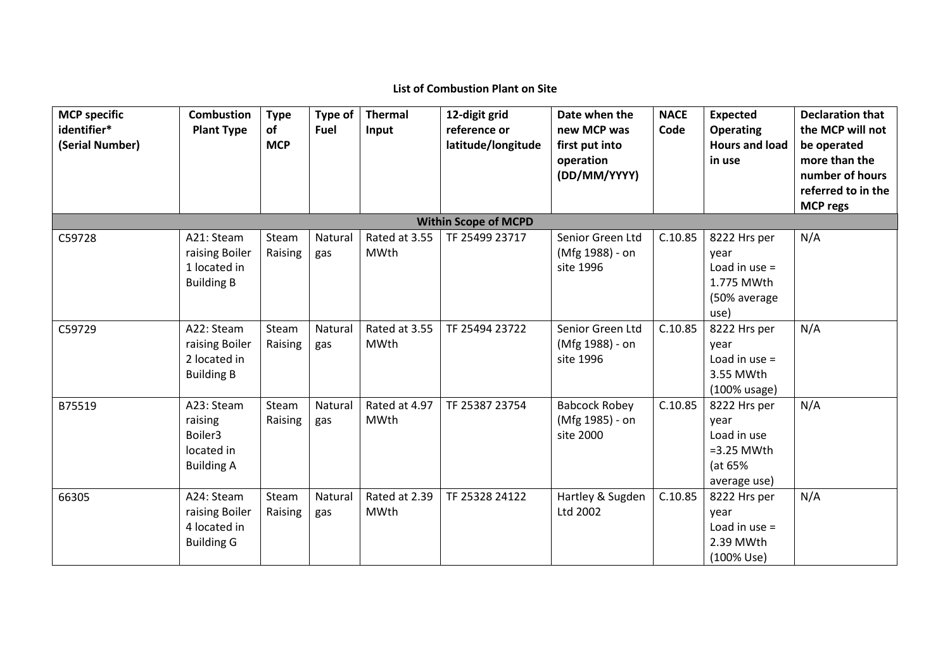## **List of Combustion Plant on Site**

| <b>MCP</b> specific<br>identifier*<br>(Serial Number) | <b>Combustion</b><br><b>Plant Type</b>                              | <b>Type</b><br>of<br><b>MCP</b> | Type of<br>Fuel | <b>Thermal</b><br>Input      | 12-digit grid<br>reference or<br>latitude/longitude | Date when the<br>new MCP was<br>first put into<br>operation<br>(DD/MM/YYYY) | <b>NACE</b><br>Code | <b>Expected</b><br><b>Operating</b><br><b>Hours and load</b><br>in use         | <b>Declaration that</b><br>the MCP will not<br>be operated<br>more than the<br>number of hours<br>referred to in the<br><b>MCP regs</b> |
|-------------------------------------------------------|---------------------------------------------------------------------|---------------------------------|-----------------|------------------------------|-----------------------------------------------------|-----------------------------------------------------------------------------|---------------------|--------------------------------------------------------------------------------|-----------------------------------------------------------------------------------------------------------------------------------------|
|                                                       |                                                                     |                                 |                 |                              | <b>Within Scope of MCPD</b>                         |                                                                             |                     |                                                                                |                                                                                                                                         |
| C59728                                                | A21: Steam<br>raising Boiler<br>1 located in<br><b>Building B</b>   | Steam<br>Raising                | Natural<br>gas  | Rated at 3.55<br>MWth        | TF 25499 23717                                      | Senior Green Ltd<br>(Mfg 1988) - on<br>site 1996                            | C.10.85             | 8222 Hrs per<br>year<br>Load in use $=$<br>1.775 MWth<br>(50% average<br>use)  | N/A                                                                                                                                     |
| C59729                                                | A22: Steam<br>raising Boiler<br>2 located in<br><b>Building B</b>   | Steam<br>Raising                | Natural<br>gas  | Rated at 3.55<br><b>MWth</b> | TF 25494 23722                                      | Senior Green Ltd<br>(Mfg 1988) - on<br>site 1996                            | C.10.85             | 8222 Hrs per<br>year<br>Load in use $=$<br>3.55 MWth<br>$(100\%$ usage)        | N/A                                                                                                                                     |
| B75519                                                | A23: Steam<br>raising<br>Boiler3<br>located in<br><b>Building A</b> | Steam<br>Raising                | Natural<br>gas  | Rated at 4.97<br>MWth        | TF 25387 23754                                      | <b>Babcock Robey</b><br>(Mfg 1985) - on<br>site 2000                        | C.10.85             | 8222 Hrs per<br>vear<br>Load in use<br>$=3.25$ MWth<br>(at 65%<br>average use) | N/A                                                                                                                                     |
| 66305                                                 | A24: Steam<br>raising Boiler<br>4 located in<br><b>Building G</b>   | Steam<br>Raising                | Natural<br>gas  | Rated at 2.39<br>MWth        | TF 25328 24122                                      | Hartley & Sugden<br>Ltd 2002                                                | C.10.85             | 8222 Hrs per<br>vear<br>Load in use $=$<br>2.39 MWth<br>(100% Use)             | N/A                                                                                                                                     |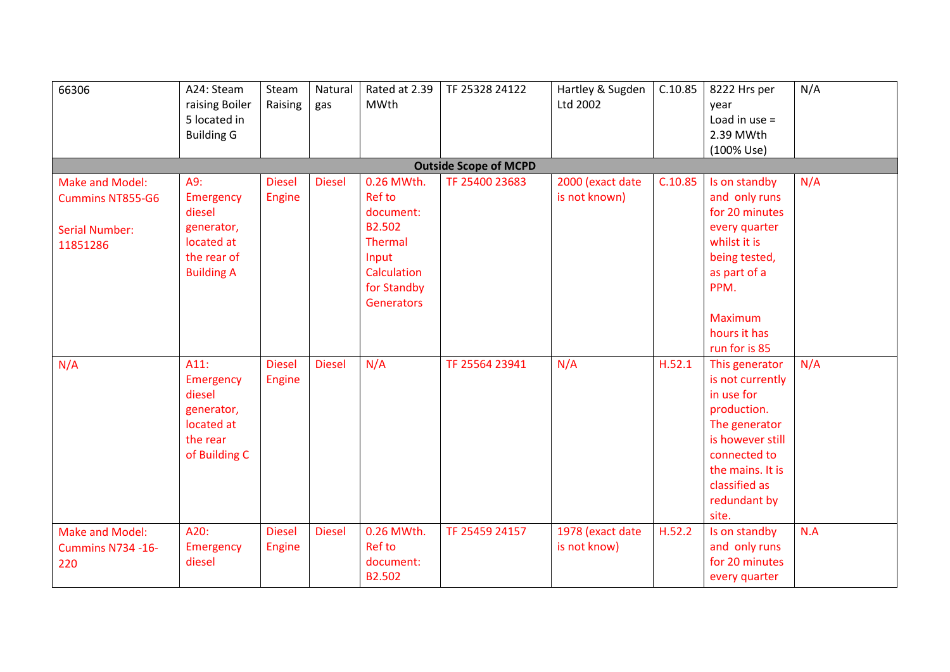| 66306                                                                           | A24: Steam<br>raising Boiler<br>5 located in<br><b>Building G</b>                          | Steam<br>Raising               | Natural<br>gas | Rated at 2.39<br><b>MWth</b>                                                                                                     | TF 25328 24122               | Hartley & Sugden<br>Ltd 2002      | C.10.85 | 8222 Hrs per<br>year<br>Load in use $=$<br>2.39 MWth                                                                                                                               | N/A |
|---------------------------------------------------------------------------------|--------------------------------------------------------------------------------------------|--------------------------------|----------------|----------------------------------------------------------------------------------------------------------------------------------|------------------------------|-----------------------------------|---------|------------------------------------------------------------------------------------------------------------------------------------------------------------------------------------|-----|
|                                                                                 |                                                                                            |                                |                |                                                                                                                                  | <b>Outside Scope of MCPD</b> |                                   |         | (100% Use)                                                                                                                                                                         |     |
| Make and Model:<br><b>Cummins NT855-G6</b><br><b>Serial Number:</b><br>11851286 | A9:<br>Emergency<br>diesel<br>generator,<br>located at<br>the rear of<br><b>Building A</b> | <b>Diesel</b><br>Engine        | <b>Diesel</b>  | 0.26 MWth.<br><b>Ref to</b><br>document:<br>B2.502<br><b>Thermal</b><br>Input<br>Calculation<br>for Standby<br><b>Generators</b> | TF 25400 23683               | 2000 (exact date<br>is not known) | C.10.85 | Is on standby<br>and only runs<br>for 20 minutes<br>every quarter<br>whilst it is<br>being tested,<br>as part of a<br>PPM.<br><b>Maximum</b><br>hours it has<br>run for is 85      | N/A |
| N/A                                                                             | A11:<br>Emergency<br>diesel<br>generator,<br>located at<br>the rear<br>of Building C       | <b>Diesel</b><br><b>Engine</b> | <b>Diesel</b>  | N/A                                                                                                                              | TF 25564 23941               | N/A                               | H.52.1  | This generator<br>is not currently<br>in use for<br>production.<br>The generator<br>is however still<br>connected to<br>the mains. It is<br>classified as<br>redundant by<br>site. | N/A |
| Make and Model:<br><b>Cummins N734 -16-</b><br>220                              | A20:<br>Emergency<br>diesel                                                                | <b>Diesel</b><br>Engine        | <b>Diesel</b>  | 0.26 MWth.<br><b>Ref to</b><br>document:<br>B2.502                                                                               | TF 25459 24157               | 1978 (exact date<br>is not know)  | H.52.2  | Is on standby<br>and only runs<br>for 20 minutes<br>every quarter                                                                                                                  | N.A |